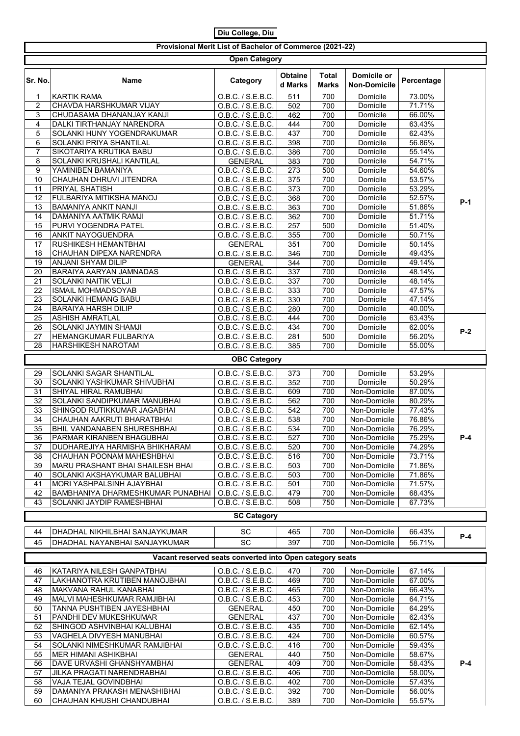| Diu College, Diu                                         |                                                             |                                        |                    |                              |                                    |                  |       |  |  |  |  |
|----------------------------------------------------------|-------------------------------------------------------------|----------------------------------------|--------------------|------------------------------|------------------------------------|------------------|-------|--|--|--|--|
| Provisional Merit List of Bachelor of Commerce (2021-22) |                                                             |                                        |                    |                              |                                    |                  |       |  |  |  |  |
| <b>Open Category</b>                                     |                                                             |                                        |                    |                              |                                    |                  |       |  |  |  |  |
| Sr. No.                                                  | <b>Name</b>                                                 | Category                               | Obtaine<br>d Marks | <b>Total</b><br><b>Marks</b> | Domicile or<br><b>Non-Domicile</b> | Percentage       |       |  |  |  |  |
| 1                                                        | <b>KARTIK RAMA</b>                                          | O.B.C. / S.E.B.C.                      | $\overline{511}$   | 700                          | Domicile                           | 73.00%           |       |  |  |  |  |
| $\overline{c}$                                           | CHAVDA HARSHKUMAR VIJAY                                     | O.B.C. / S.E.B.C.                      | 502                | 700                          | Domicile                           | 71.71%           |       |  |  |  |  |
| 3<br>4                                                   | CHUDASAMA DHANANJAY KANJI<br>DALKI TIRTHANJAY NARENDRA      | O.B.C. / S.E.B.C.<br>O.B.C. / S.E.B.C. | 462<br>444         | 700<br>700                   | Domicile<br>Domicile               | 66.00%<br>63.43% |       |  |  |  |  |
| 5                                                        | SOLANKI HUNY YOGENDRAKUMAR                                  | O.B.C. / S.E.B.C.                      | 437                | 700                          | Domicile                           | 62.43%           |       |  |  |  |  |
| 6                                                        | SOLANKI PRIYA SHANTILAL                                     | O.B.C. / S.E.B.C.                      | 398                | 700                          | Domicile                           | 56.86%           |       |  |  |  |  |
| 7                                                        | SIKOTARIYA KRUTIKA BABU                                     | O.B.C. / S.E.B.C.                      | 386                | 700                          | Domicile                           | 55.14%           |       |  |  |  |  |
| 8                                                        | SOLANKI KRUSHALI KANTILAL                                   | <b>GENERAL</b>                         | 383                | 700                          | Domicile                           | 54.71%           |       |  |  |  |  |
| 9<br>10                                                  | YAMINIBEN BAMANIYA<br>CHAUHAN DHRUVI JITENDRA               | O.B.C. / S.E.B.C.                      | 273                | 500                          | Domicile<br>Domicile               | 54.60%<br>53.57% |       |  |  |  |  |
| 11                                                       | PRIYAL SHATISH                                              | O.B.C. / S.E.B.C.<br>O.B.C. / S.E.B.C. | 375<br>373         | 700<br>700                   | Domicile                           | 53.29%           |       |  |  |  |  |
| 12                                                       | FULBARIYA MITIKSHA MANOJ                                    | O.B.C. / S.E.B.C.                      | 368                | 700                          | Domicile                           | 52.57%           |       |  |  |  |  |
| 13                                                       | <b>BAMANIYA ANKIT NANJI</b>                                 | 0.B.C. / S.E.B.C.                      | 363                | 700                          | Domicile                           | 51.86%           | P-1   |  |  |  |  |
| 14                                                       | DAMANIYA AATMIK RAMJI                                       | O.B.C. / S.E.B.C.                      | 362                | 700                          | Domicile                           | 51.71%           |       |  |  |  |  |
| 15                                                       | <b>PURVI YOGENDRA PATEL</b>                                 | O.B.C. / S.E.B.C.                      | 257                | 500                          | Domicile                           | 51.40%           |       |  |  |  |  |
| 16                                                       | <b>ANKIT NAYOGUENDRA</b>                                    | O.B.C. / S.E.B.C.                      | 355                | 700                          | Domicile                           | 50.71%           |       |  |  |  |  |
| 17<br>18                                                 | <b>RUSHIKESH HEMANTBHAI</b><br>CHAUHAN DIPEXA NARENDRA      | <b>GENERAL</b><br>O.B.C. / S.E.B.C.    | 351<br>346         | 700<br>700                   | Domicile<br>Domicile               | 50.14%<br>49.43% |       |  |  |  |  |
| 19                                                       | ANJANI SHYAM DILIP                                          | <b>GENERAL</b>                         | 344                | 700                          | Domicile                           | 49.14%           |       |  |  |  |  |
| 20                                                       | <b>BARAIYA AARYAN JAMNADAS</b>                              | O.B.C. / S.E.B.C.                      | 337                | 700                          | Domicile                           | 48.14%           |       |  |  |  |  |
| 21                                                       | <b>SOLANKI NAITIK VELJI</b>                                 | O.B.C. / S.E.B.C.                      | 337                | 700                          | Domicile                           | 48.14%           |       |  |  |  |  |
| 22                                                       | <b>ISMAIL MOHMADSOYAB</b>                                   | O.B.C. / S.E.B.C.                      | 333                | 700                          | Domicile                           | 47.57%           |       |  |  |  |  |
| 23                                                       | SOLANKI HEMANG BABU                                         | O.B.C. / S.E.B.C.                      | 330                | 700                          | Domicile                           | 47.14%           |       |  |  |  |  |
| 24<br>25                                                 | <b>BARAIYA HARSH DILIP</b><br><b>ASHISH AMRATLAL</b>        | O.B.C. / S.E.B.C.<br>O.B.C. / S.E.B.C. | 280<br>444         | 700<br>700                   | Domicile<br>Domicile               | 40.00%<br>63.43% |       |  |  |  |  |
| 26                                                       | <b>SOLANKI JAYMIN SHAMJI</b>                                | O.B.C. / S.E.B.C.                      | 434                | 700                          | Domicile                           | 62.00%           |       |  |  |  |  |
| 27                                                       | HEMANGKUMAR FULBARIYA                                       | O.B.C. / S.E.B.C.                      | 281                | 500                          | Domicile                           | 56.20%           | $P-2$ |  |  |  |  |
| 28                                                       | HARSHIKESH NAROTAM                                          | O.B.C. / S.E.B.C.                      | 385                | 700                          | Domicile                           | 55.00%           |       |  |  |  |  |
|                                                          |                                                             | <b>OBC Category</b>                    |                    |                              |                                    |                  |       |  |  |  |  |
| 29                                                       | <b>SOLANKI SAGAR SHANTILAL</b>                              |                                        |                    |                              | Domicile                           | 53.29%           |       |  |  |  |  |
| 30                                                       | SOLANKI YASHKUMAR SHIVUBHAI                                 | O.B.C. / S.E.B.C.<br>O.B.C. / S.E.B.C. | 373<br>352         | 700<br>700                   | Domicile                           | 50.29%           |       |  |  |  |  |
| 31                                                       | SHIYAL HIRAL RAMUBHAI                                       | O.B.C. / S.E.B.C.                      | 609                | 700                          | Non-Domicile                       | 87.00%           |       |  |  |  |  |
| 32                                                       | SOLANKI SANDIPKUMAR MANUBHAI                                | O.B.C. / S.E.B.C.                      | 562                | 700                          | Non-Domicile                       | 80.29%           |       |  |  |  |  |
| 33                                                       | SHINGOD RUTIKKUMAR JAGABHAI                                 | O.B.C. / S.E.B.C.                      | 542                | 700                          | Non-Domicile                       | 77.43%           |       |  |  |  |  |
| 34                                                       | CHAUHAN AAKRUTI BHARATBHAI                                  | 0.B.C. / S.E.B.C.                      | 538                | 700                          | Non-Domicile                       | 76.86%           |       |  |  |  |  |
| 35                                                       | <b>BHIL VANDANABEN SHURESHBHAI</b>                          | O.B.C. / S.E.B.C.                      | 534                | 700                          | Non-Domicile                       | 76.29%           |       |  |  |  |  |
| 36<br>37                                                 | PARMAR KIRANBEN BHAGUBHAI<br>DUDHAREJIYA HARMISHA BHIKHARAM | O.B.C. / S.E.B.C.<br>O.B.C. / S.E.B.C. | 527<br>520         | 700<br>700                   | Non-Domicile<br>Non-Domicile       | 75.29%<br>74.29% | $P-4$ |  |  |  |  |
| 38                                                       | CHAUHAN POONAM MAHESHBHAI                                   | O.B.C. / S.E.B.C.                      | 516                | 700                          | Non-Domicile                       | 73.71%           |       |  |  |  |  |
| 39                                                       | MARU PRASHANT BHAI SHAILESH BHAI                            | O.B.C. / S.E.B.C.                      | 503                | 700                          | Non-Domicile                       | 71.86%           |       |  |  |  |  |
| 40                                                       | SOLANKI AKSHAYKUMAR BALUBHAI                                | O.B.C. / S.E.B.C.                      | 503                | 700                          | Non-Domicile                       | 71.86%           |       |  |  |  |  |
| 41                                                       | MORI YASHPALSINH AJAYBHAI                                   | O.B.C. / S.E.B.C.                      | 501                | 700                          | Non-Domicile                       | 71.57%           |       |  |  |  |  |
| 42                                                       | BAMBHANIYA DHARMESHKUMAR PUNABHAI                           | O.B.C. / S.E.B.C.                      | 479                | 700                          | Non-Domicile                       | 68.43%           |       |  |  |  |  |
| 43                                                       | SOLANKI JAYDIP RAMESHBHAI                                   | O.B.C. / S.E.B.C.                      | 508                | 750                          | Non-Domicile                       | 67.73%           |       |  |  |  |  |
|                                                          |                                                             | <b>SC Category</b>                     |                    |                              |                                    |                  |       |  |  |  |  |
| 44                                                       | DHADHAL NIKHILBHAI SANJAYKUMAR                              | SC                                     | 465                | 700                          | Non-Domicile                       | 66.43%           |       |  |  |  |  |
| 45                                                       | DHADHAL NAYANBHAI SANJAYKUMAR                               | SC                                     | 397                | 700                          | Non-Domicile                       | 56.71%           | $P-4$ |  |  |  |  |
|                                                          | Vacant reserved seats converted into Open category seats    |                                        |                    |                              |                                    |                  |       |  |  |  |  |
|                                                          |                                                             |                                        |                    |                              |                                    |                  |       |  |  |  |  |
| 46<br>47                                                 | KATARIYA NILESH GANPATBHAI                                  | O.B.C. / S.E.B.C.                      | 470<br>469         | 700<br>700                   | Non-Domicile                       | 67.14%           |       |  |  |  |  |
| 48                                                       | LAKHANOTRA KRUTIBEN MANOJBHAI<br>MAKVANA RAHUL KANABHAI     | O.B.C. / S.E.B.C.<br>O.B.C. / S.E.B.C. | 465                | 700                          | Non-Domicile<br>Non-Domicile       | 67.00%<br>66.43% |       |  |  |  |  |
| 49                                                       | MALVI MAHESHKUMAR RAMJIBHAI                                 | O.B.C. / S.E.B.C.                      | 453                | 700                          | Non-Domicile                       | 64.71%           |       |  |  |  |  |
| 50                                                       | TANNA PUSHTIBEN JAYESHBHAI                                  | <b>GENERAL</b>                         | 450                | 700                          | Non-Domicile                       | 64.29%           |       |  |  |  |  |
| 51                                                       | PANDHI DEV MUKESHKUMAR                                      | <b>GENERAL</b>                         | 437                | 700                          | Non-Domicile                       | 62.43%           |       |  |  |  |  |
| 52                                                       | SHINGOD ASHVINBHAI KALUBHAI                                 | O.B.C. / S.E.B.C.                      | 435                | 700                          | Non-Domicile                       | 62.14%           |       |  |  |  |  |
| 53                                                       | VAGHELA DIVYESH MANUBHAI                                    | O.B.C. / S.E.B.C.                      | 424                | 700                          | Non-Domicile                       | 60.57%           |       |  |  |  |  |
| 54<br>55                                                 | SOLANKI NIMESHKUMAR RAMJIBHAI<br>MER HIMANI ASHIKBHAI       | O.B.C. / S.E.B.C.<br><b>GENERAL</b>    | 416<br>440         | 700<br>750                   | Non-Domicile<br>Non-Domicile       | 59.43%<br>58.67% |       |  |  |  |  |
| 56                                                       | DAVE URVASHI GHANSHYAMBHAI                                  | <b>GENERAL</b>                         | 409                | 700                          | Non-Domicile                       | 58.43%           | P-4   |  |  |  |  |
| 57                                                       | JILKA PRAGATI NARENDRABHAI                                  | O.B.C. / S.E.B.C.                      | 406                | 700                          | Non-Domicile                       | 58.00%           |       |  |  |  |  |
| 58                                                       | VAJA TEJAL GOVINDBHAI                                       | O.B.C. / S.E.B.C.                      | 402                | 700                          | Non-Domicile                       | 57.43%           |       |  |  |  |  |
| 59                                                       | DAMANIYA PRAKASH MENASHIBHAI                                | O.B.C. / S.E.B.C.                      | 392                | 700                          | Non-Domicile                       | 56.00%           |       |  |  |  |  |
| 60                                                       | CHAUHAN KHUSHI CHANDUBHAI                                   | O.B.C. / S.E.B.C.                      | 389                | 700                          | Non-Domicile                       | 55.57%           |       |  |  |  |  |